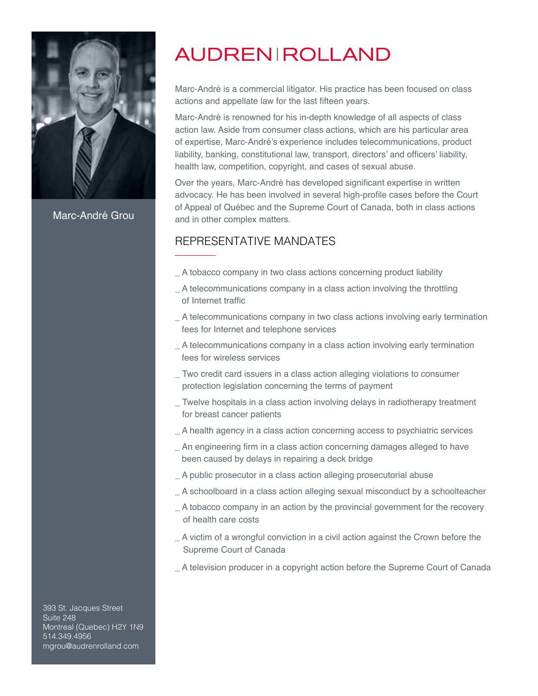

Marc-André Grou

## **AUDRENIROLLAND**

Marc-André is a commercial litigator. His practice has been focused on class actions and appellate law for the last fifteen years.

Marc-André is renowned for his in-depth knowledge of all aspects of class action law. Aside from consumer class actions, which are his particular area of expertise, Marc-André's experience includes telecommunications, product liability, banking, constitutional law, transport, directors' and officers' liability, health law, competition, copyright, and cases of sexual abuse.

Over the years, Marc-André has developed significant expertise in written advocacy. He has been involved in several high-profile cases before the Court of Appeal of Québec and the Supreme Court of Canada, both in class actions and in other complex matters.

## REPRESENTATIVE MANDATES

- \_ A tobacco company in two class actions concerning product liability
- \_ A telecommunications company in a class action involving the throttling of Internet traffic

\_ A telecommunications company in two class actions involving early termination fees for Internet and telephone services

- \_ A telecommunications company in a class action involving early termination fees for wireless services
- \_ Two credit card issuers in a class action alleging violations to consumer protection legislation concerning the terms of payment
- \_ Twelve hospitals in a class action involving delays in radiotherapy treatment for breast cancer patients
- \_ A health agency in a class action concerning access to psychiatric services
- \_ An engineering firm in a class action concerning damages alleged to have been caused by delays in repairing a deck bridge
- \_ A public prosecutor in a class action alleging prosecutorial abuse
- \_ A schoolboard in a class action alleging sexual misconduct by a schoolteacher
- \_ A tobacco company in an action by the provincial government for the recovery of health care costs
- \_ A victim of a wrongful conviction in a civil action against the Crown before the Supreme Court of Canada
- \_ A television producer in a copyright action before the Supreme Court of Canada

393 St. Jacques Street Suite 248 Montreal (Quebec) H2Y 1N9 514.349.4956 mgrou@audrenrolland.com